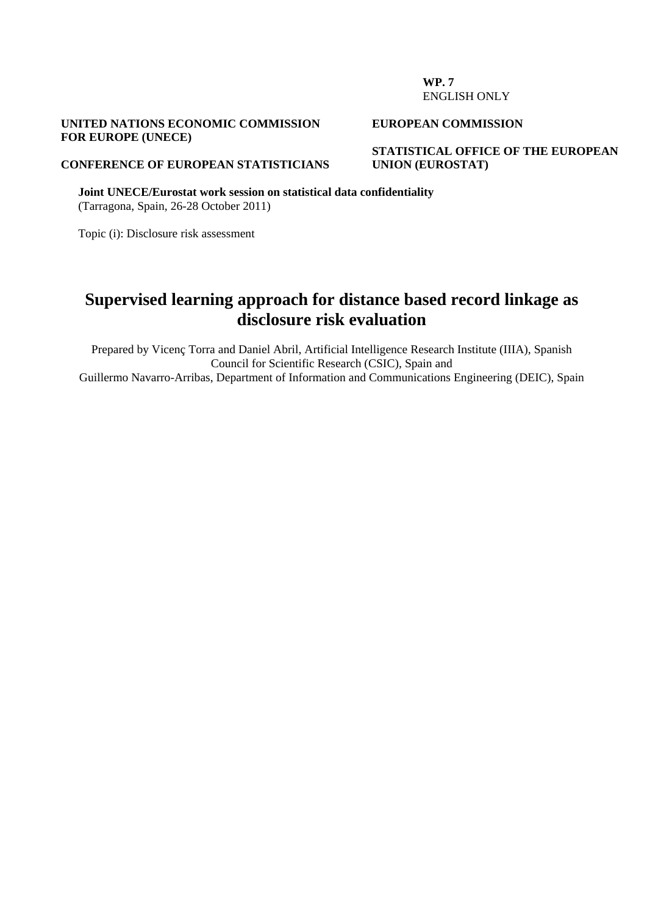#### **WP. 7**  ENGLISH ONLY

## **UNITED NATIONS ECONOMIC COMMISSION FOR EUROPE (UNECE)**

#### **EUROPEAN COMMISSION**

**STATISTICAL OFFICE OF THE EUROPEAN UNION (EUROSTAT)** 

#### **CONFERENCE OF EUROPEAN STATISTICIANS**

**Joint UNECE/Eurostat work session on statistical data confidentiality**  (Tarragona, Spain, 26-28 October 2011)

Topic (i): Disclosure risk assessment

## **Supervised learning approach for distance based record linkage as disclosure risk evaluation**

Prepared by Vicenç Torra and Daniel Abril, Artificial Intelligence Research Institute (IIIA), Spanish Council for Scientific Research (CSIC), Spain and Guillermo Navarro-Arribas, Department of Information and Communications Engineering (DEIC), Spain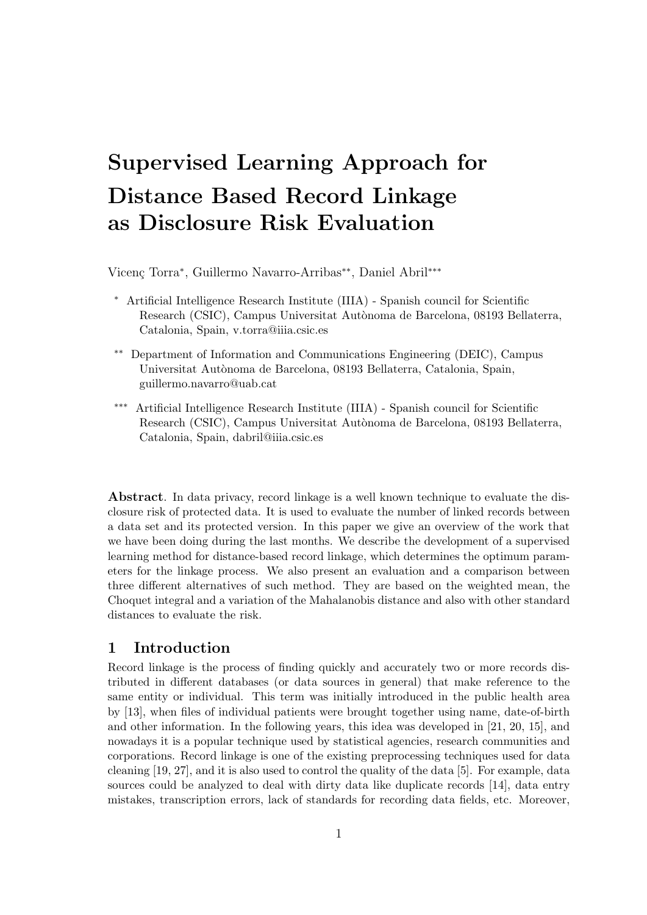# Supervised Learning Approach for Distance Based Record Linkage as Disclosure Risk Evaluation

Vicenç Torra<sup>∗</sup>, Guillermo Navarro-Arribas<sup>\*\*</sup>, Daniel Abril<sup>\*\*\*</sup>

- <sup>∗</sup> Artificial Intelligence Research Institute (IIIA) Spanish council for Scientific Research (CSIC), Campus Universitat Autònoma de Barcelona, 08193 Bellaterra, Catalonia, Spain, v.torra@iiia.csic.es
- ∗∗ Department of Information and Communications Engineering (DEIC), Campus Universitat Autònoma de Barcelona, 08193 Bellaterra, Catalonia, Spain, guillermo.navarro@uab.cat
- ∗∗∗ Artificial Intelligence Research Institute (IIIA) Spanish council for Scientific Research (CSIC), Campus Universitat Autònoma de Barcelona, 08193 Bellaterra, Catalonia, Spain, dabril@iiia.csic.es

Abstract. In data privacy, record linkage is a well known technique to evaluate the disclosure risk of protected data. It is used to evaluate the number of linked records between a data set and its protected version. In this paper we give an overview of the work that we have been doing during the last months. We describe the development of a supervised learning method for distance-based record linkage, which determines the optimum parameters for the linkage process. We also present an evaluation and a comparison between three different alternatives of such method. They are based on the weighted mean, the Choquet integral and a variation of the Mahalanobis distance and also with other standard distances to evaluate the risk.

## 1 Introduction

Record linkage is the process of finding quickly and accurately two or more records distributed in different databases (or data sources in general) that make reference to the same entity or individual. This term was initially introduced in the public health area by [13], when files of individual patients were brought together using name, date-of-birth and other information. In the following years, this idea was developed in [21, 20, 15], and nowadays it is a popular technique used by statistical agencies, research communities and corporations. Record linkage is one of the existing preprocessing techniques used for data cleaning [19, 27], and it is also used to control the quality of the data [5]. For example, data sources could be analyzed to deal with dirty data like duplicate records [14], data entry mistakes, transcription errors, lack of standards for recording data fields, etc. Moreover,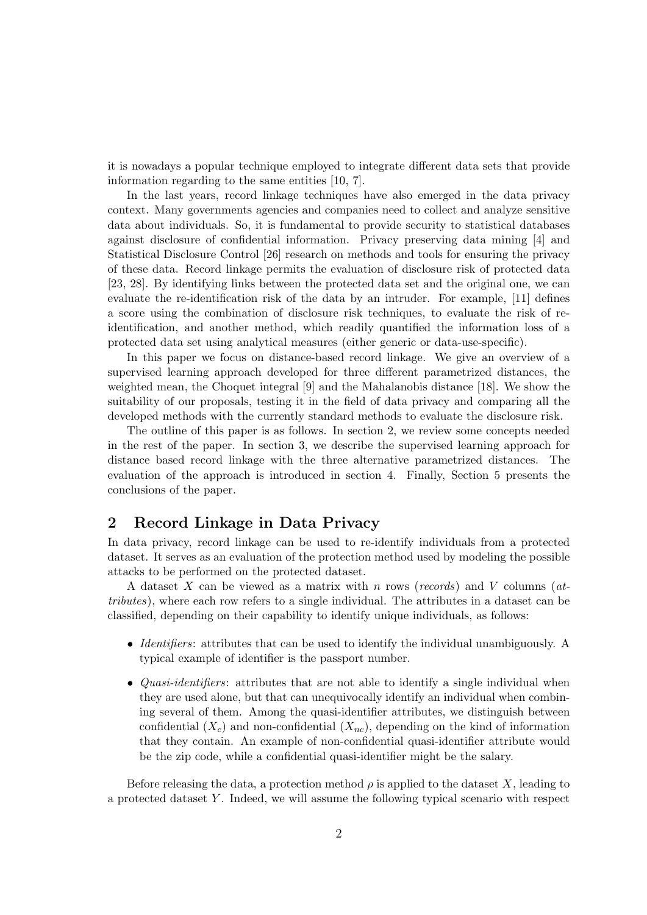it is nowadays a popular technique employed to integrate different data sets that provide information regarding to the same entities [10, 7].

In the last years, record linkage techniques have also emerged in the data privacy context. Many governments agencies and companies need to collect and analyze sensitive data about individuals. So, it is fundamental to provide security to statistical databases against disclosure of confidential information. Privacy preserving data mining [4] and Statistical Disclosure Control [26] research on methods and tools for ensuring the privacy of these data. Record linkage permits the evaluation of disclosure risk of protected data [23, 28]. By identifying links between the protected data set and the original one, we can evaluate the re-identification risk of the data by an intruder. For example, [11] defines a score using the combination of disclosure risk techniques, to evaluate the risk of reidentification, and another method, which readily quantified the information loss of a protected data set using analytical measures (either generic or data-use-specific).

In this paper we focus on distance-based record linkage. We give an overview of a supervised learning approach developed for three different parametrized distances, the weighted mean, the Choquet integral [9] and the Mahalanobis distance [18]. We show the suitability of our proposals, testing it in the field of data privacy and comparing all the developed methods with the currently standard methods to evaluate the disclosure risk.

The outline of this paper is as follows. In section 2, we review some concepts needed in the rest of the paper. In section 3, we describe the supervised learning approach for distance based record linkage with the three alternative parametrized distances. The evaluation of the approach is introduced in section 4. Finally, Section 5 presents the conclusions of the paper.

## 2 Record Linkage in Data Privacy

In data privacy, record linkage can be used to re-identify individuals from a protected dataset. It serves as an evaluation of the protection method used by modeling the possible attacks to be performed on the protected dataset.

A dataset X can be viewed as a matrix with n rows (records) and V columns ( $at$ tributes), where each row refers to a single individual. The attributes in a dataset can be classified, depending on their capability to identify unique individuals, as follows:

- Identifiers: attributes that can be used to identify the individual unambiguously. A typical example of identifier is the passport number.
- *Quasi-identifiers*: attributes that are not able to identify a single individual when they are used alone, but that can unequivocally identify an individual when combining several of them. Among the quasi-identifier attributes, we distinguish between confidential  $(X_c)$  and non-confidential  $(X_{nc})$ , depending on the kind of information that they contain. An example of non-confidential quasi-identifier attribute would be the zip code, while a confidential quasi-identifier might be the salary.

Before releasing the data, a protection method  $\rho$  is applied to the dataset X, leading to a protected dataset Y . Indeed, we will assume the following typical scenario with respect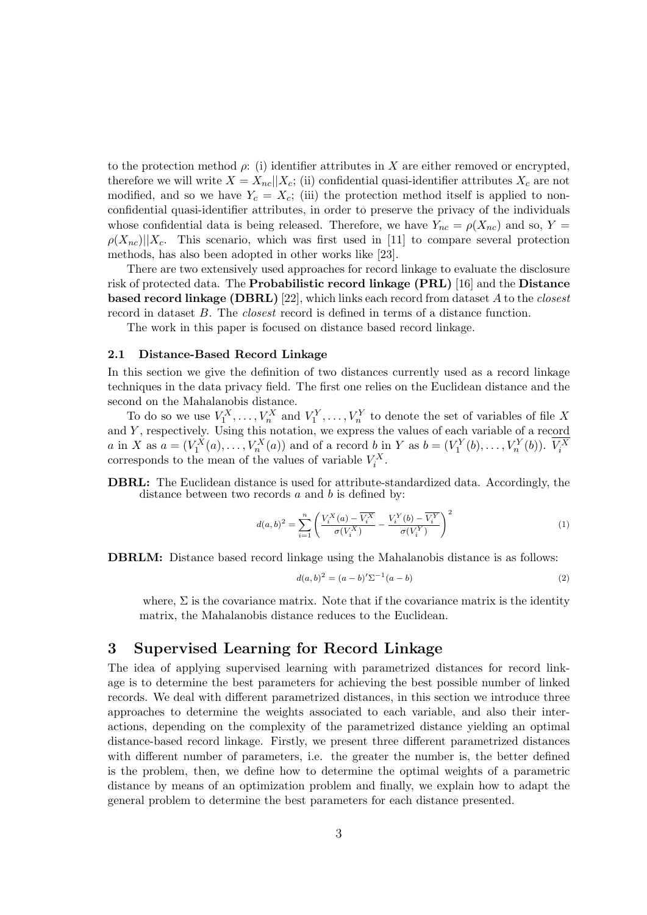to the protection method  $\rho$ : (i) identifier attributes in X are either removed or encrypted, therefore we will write  $X = X_{nc} || X_c$ ; (ii) confidential quasi-identifier attributes  $X_c$  are not modified, and so we have  $Y_c = X_c$ ; (iii) the protection method itself is applied to nonconfidential quasi-identifier attributes, in order to preserve the privacy of the individuals whose confidential data is being released. Therefore, we have  $Y_{nc} = \rho(X_{nc})$  and so,  $Y =$  $\rho(X_{nc})||X_c$ . This scenario, which was first used in [11] to compare several protection methods, has also been adopted in other works like [23].

There are two extensively used approaches for record linkage to evaluate the disclosure risk of protected data. The Probabilistic record linkage (PRL) [16] and the Distance **based record linkage (DBRL)** [22], which links each record from dataset A to the *closest* record in dataset B. The closest record is defined in terms of a distance function.

The work in this paper is focused on distance based record linkage.

#### 2.1 Distance-Based Record Linkage

In this section we give the definition of two distances currently used as a record linkage techniques in the data privacy field. The first one relies on the Euclidean distance and the second on the Mahalanobis distance.

To do so we use  $V_1^X, \ldots, V_n^X$  and  $V_1^Y, \ldots, V_n^Y$  to denote the set of variables of file X and Y, respectively. Using this notation, we express the values of each variable of a record a in X as  $a = (V_1^X(a), \dots, V_n^X(a))$  and of a record b in Y as  $b = (V_1^Y(b), \dots, V_n^Y(b))$ .  $V_i^X$  corresponds to the mean of the values of variable  $V_i^X$ .

DBRL: The Euclidean distance is used for attribute-standardized data. Accordingly, the distance between two records  $a$  and  $b$  is defined by:

$$
d(a,b)^2 = \sum_{i=1}^n \left( \frac{V_i^X(a) - \overline{V_i^X}}{\sigma(V_i^X)} - \frac{V_i^Y(b) - \overline{V_i^Y}}{\sigma(V_i^Y)} \right)^2 \tag{1}
$$

DBRLM: Distance based record linkage using the Mahalanobis distance is as follows:

$$
d(a,b)^2 = (a-b)'\Sigma^{-1}(a-b)
$$
 (2)

where,  $\Sigma$  is the covariance matrix. Note that if the covariance matrix is the identity matrix, the Mahalanobis distance reduces to the Euclidean.

#### 3 Supervised Learning for Record Linkage

The idea of applying supervised learning with parametrized distances for record linkage is to determine the best parameters for achieving the best possible number of linked records. We deal with different parametrized distances, in this section we introduce three approaches to determine the weights associated to each variable, and also their interactions, depending on the complexity of the parametrized distance yielding an optimal distance-based record linkage. Firstly, we present three different parametrized distances with different number of parameters, i.e. the greater the number is, the better defined is the problem, then, we define how to determine the optimal weights of a parametric distance by means of an optimization problem and finally, we explain how to adapt the general problem to determine the best parameters for each distance presented.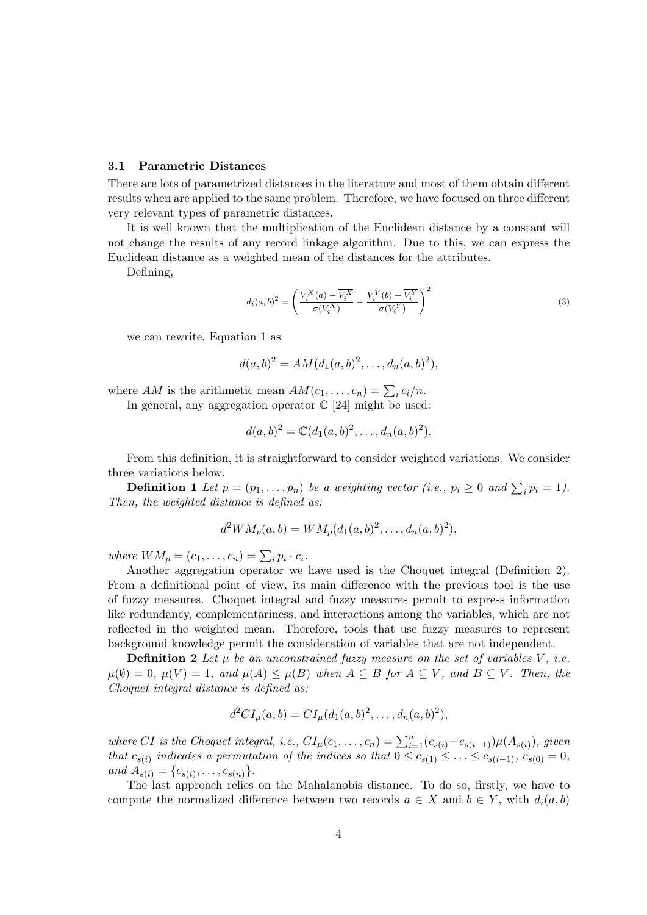#### 3.1 Parametric Distances

There are lots of parametrized distances in the literature and most of them obtain different results when are applied to the same problem. Therefore, we have focused on three different very relevant types of parametric distances.

It is well known that the multiplication of the Euclidean distance by a constant will not change the results of any record linkage algorithm. Due to this, we can express the Euclidean distance as a weighted mean of the distances for the attributes.

Defining,

$$
d_i(a,b)^2 = \left(\frac{V_i^X(a) - \overline{V_i^X}}{\sigma(V_i^X)} - \frac{V_i^Y(b) - \overline{V_i^Y}}{\sigma(V_i^Y)}\right)^2
$$
\n(3)

we can rewrite, Equation 1 as

$$
d(a,b)^{2} = AM(d_{1}(a,b)^{2},...,d_{n}(a,b)^{2}),
$$

where AM is the arithmetic mean  $AM(c_1, \ldots, c_n) = \sum_i c_i/n$ . In general, any aggregation operator  $\mathbb{C}$  [24] might be used:

any aggregategation operation 
$$
\cup
$$
 [24] might be used:

$$
d(a,b)^{2} = \mathbb{C}(d_{1}(a,b)^{2},\ldots,d_{n}(a,b)^{2}).
$$

From this definition, it is straightforward to consider weighted variations. We consider three variations below.

**Definition 1** Let  $p = (p_1, \ldots, p_n)$  be a weighting vector (i.e.,  $p_i \geq 0$  and  $\sum_i p_i = 1$ ). Then, the weighted distance is defined as:

$$
d^2WM_p(a,b) = WM_p(d_1(a,b)^2, \ldots, d_n(a,b)^2),
$$

where  $WM_p = (c_1, \ldots, c_n) = \sum_i p_i \cdot c_i$ .

Another aggregation operator we have used is the Choquet integral (Definition 2). From a definitional point of view, its main difference with the previous tool is the use of fuzzy measures. Choquet integral and fuzzy measures permit to express information like redundancy, complementariness, and interactions among the variables, which are not reflected in the weighted mean. Therefore, tools that use fuzzy measures to represent background knowledge permit the consideration of variables that are not independent.

**Definition 2** Let  $\mu$  be an unconstrained fuzzy measure on the set of variables V, i.e.  $\mu(\emptyset) = 0, \mu(V) = 1, \text{ and } \mu(A) \leq \mu(B) \text{ when } A \subseteq B \text{ for } A \subseteq V, \text{ and } B \subseteq V.$  Then, the Choquet integral distance is defined as:

$$
d^{2}CI_{\mu}(a,b) = CI_{\mu}(d_{1}(a,b)^{2},...,d_{n}(a,b)^{2}),
$$

where CI is the Choquet integral, i.e.,  $CI_{\mu}(c_1, \ldots, c_n) = \sum_{i=1}^n (c_{s(i)} - c_{s(i-1)}) \mu(A_{s(i)})$ , given that  $c_{s(i)}$  indicates a permutation of the indices so that  $0 \leq c_{s(1)} \leq \ldots \leq c_{s(i-1)}$ ,  $c_{s(0)} = 0$ , and  $A_{s(i)} = \{c_{s(i)}, \ldots, c_{s(n)}\}.$ 

The last approach relies on the Mahalanobis distance. To do so, firstly, we have to compute the normalized difference between two records  $a \in X$  and  $b \in Y$ , with  $d_i(a, b)$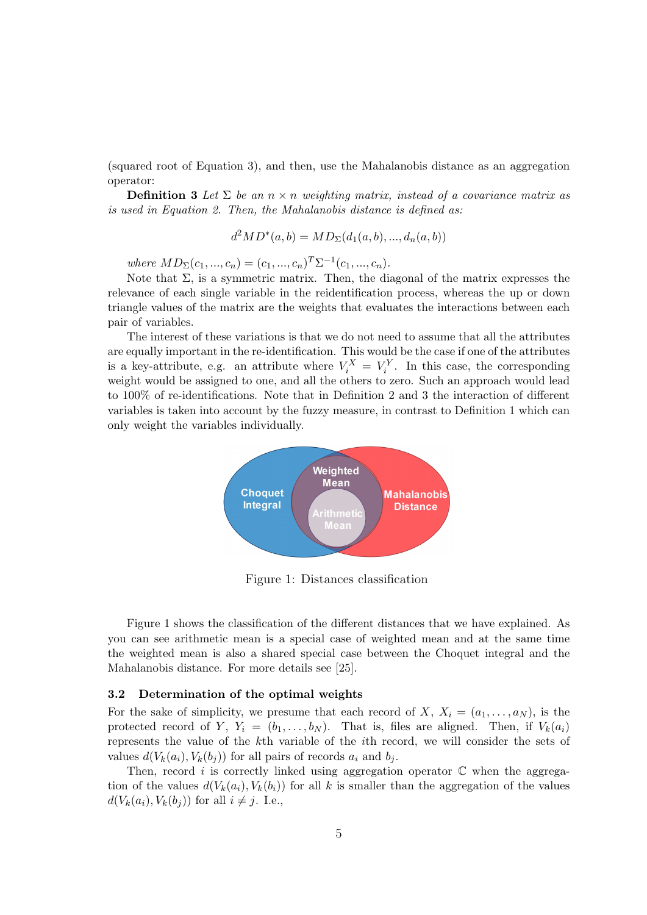(squared root of Equation 3), and then, use the Mahalanobis distance as an aggregation operator:

**Definition 3** Let  $\Sigma$  be an  $n \times n$  weighting matrix, instead of a covariance matrix as is used in Equation 2. Then, the Mahalanobis distance is defined as:

$$
d^2MD^*(a, b) = MD_{\Sigma}(d_1(a, b), ..., d_n(a, b))
$$

where  $MD_{\Sigma}(c_1, ..., c_n) = (c_1, ..., c_n)^T \Sigma^{-1}(c_1, ..., c_n)$ .

Note that  $\Sigma$ , is a symmetric matrix. Then, the diagonal of the matrix expresses the relevance of each single variable in the reidentification process, whereas the up or down triangle values of the matrix are the weights that evaluates the interactions between each pair of variables.

The interest of these variations is that we do not need to assume that all the attributes are equally important in the re-identification. This would be the case if one of the attributes is a key-attribute, e.g. an attribute where  $V_i^X = V_i^Y$ . In this case, the corresponding weight would be assigned to one, and all the others to zero. Such an approach would lead to 100% of re-identifications. Note that in Definition 2 and 3 the interaction of different variables is taken into account by the fuzzy measure, in contrast to Definition 1 which can only weight the variables individually.



Figure 1: Distances classification

Figure 1 shows the classification of the different distances that we have explained. As you can see arithmetic mean is a special case of weighted mean and at the same time the weighted mean is also a shared special case between the Choquet integral and the Mahalanobis distance. For more details see [25].

#### 3.2 Determination of the optimal weights

For the sake of simplicity, we presume that each record of X,  $X_i = (a_1, \ldots, a_N)$ , is the protected record of Y,  $Y_i = (b_1, \ldots, b_N)$ . That is, files are aligned. Then, if  $V_k(a_i)$ represents the value of the kth variable of the ith record, we will consider the sets of values  $d(V_k(a_i), V_k(b_j))$  for all pairs of records  $a_i$  and  $b_j$ .

Then, record i is correctly linked using aggregation operator  $\mathbb C$  when the aggregation of the values  $d(V_k(a_i), V_k(b_i))$  for all k is smaller than the aggregation of the values  $d(V_k(a_i), V_k(b_i))$  for all  $i \neq j$ . I.e.,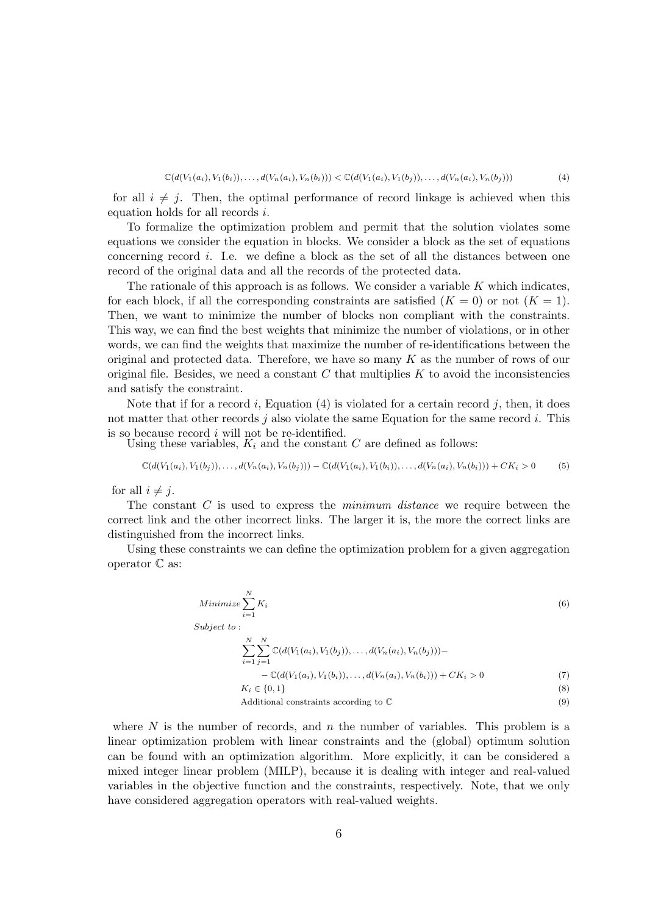$$
\mathbb{C}(d(V_1(a_i), V_1(b_i)), \dots, d(V_n(a_i), V_n(b_i))) < \mathbb{C}(d(V_1(a_i), V_1(b_j)), \dots, d(V_n(a_i), V_n(b_j))) \tag{4}
$$

for all  $i \neq j$ . Then, the optimal performance of record linkage is achieved when this equation holds for all records i.

To formalize the optimization problem and permit that the solution violates some equations we consider the equation in blocks. We consider a block as the set of equations concerning record i. I.e. we define a block as the set of all the distances between one record of the original data and all the records of the protected data.

The rationale of this approach is as follows. We consider a variable  $K$  which indicates, for each block, if all the corresponding constraints are satisfied  $(K = 0)$  or not  $(K = 1)$ . Then, we want to minimize the number of blocks non compliant with the constraints. This way, we can find the best weights that minimize the number of violations, or in other words, we can find the weights that maximize the number of re-identifications between the original and protected data. Therefore, we have so many  $K$  as the number of rows of our original file. Besides, we need a constant  $C$  that multiplies  $K$  to avoid the inconsistencies and satisfy the constraint.

Note that if for a record i, Equation  $(4)$  is violated for a certain record j, then, it does not matter that other records  $j$  also violate the same Equation for the same record  $i$ . This is so because record  $i$  will not be re-identified.

Using these variables,  $K_i$  and the constant  $C$  are defined as follows:

$$
\mathbb{C}(d(V_1(a_i), V_1(b_j)), \ldots, d(V_n(a_i), V_n(b_j))) - \mathbb{C}(d(V_1(a_i), V_1(b_i)), \ldots, d(V_n(a_i), V_n(b_i))) + CK_i > 0
$$
 (5)

for all  $i \neq j$ .

The constant  $C$  is used to express the *minimum distance* we require between the correct link and the other incorrect links. The larger it is, the more the correct links are distinguished from the incorrect links.

Using these constraints we can define the optimization problem for a given aggregation operator C as:

Minimize 
$$
\sum_{i=1}^{N} K_i
$$
\n
$$
\text{Subject to:}
$$
\n
$$
\sum_{i=1}^{N} \sum_{j=1}^{N} \mathbb{C}(d(V_1(a_i), V_1(b_j)), \dots, d(V_n(a_i), V_n(b_j))) -
$$
\n
$$
-\mathbb{C}(d(V_1(a_i), V_1(b_i)), \dots, d(V_n(a_i), V_n(b_i))) + CK_i > 0
$$
\n
$$
K_i \in \{0, 1\}
$$
\nAdditional constraints according to  $\mathbb{C}$ 

\n
$$
(9)
$$

where  $N$  is the number of records, and  $n$  the number of variables. This problem is a linear optimization problem with linear constraints and the (global) optimum solution can be found with an optimization algorithm. More explicitly, it can be considered a mixed integer linear problem (MILP), because it is dealing with integer and real-valued variables in the objective function and the constraints, respectively. Note, that we only have considered aggregation operators with real-valued weights.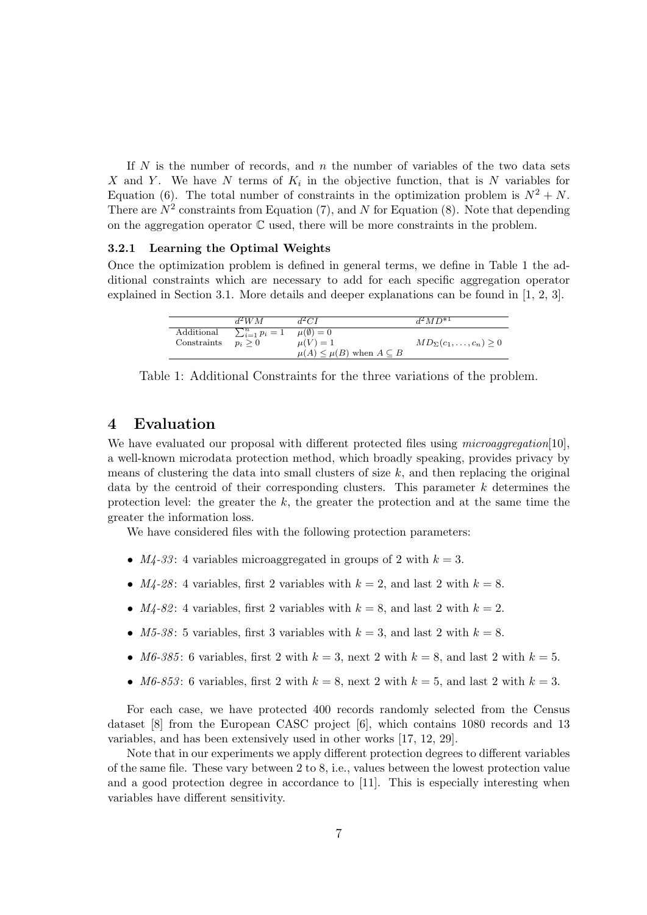If  $N$  is the number of records, and  $n$  the number of variables of the two data sets X and Y. We have N terms of  $K_i$  in the objective function, that is N variables for Equation (6). The total number of constraints in the optimization problem is  $N^2 + N$ . There are  $N^2$  constraints from Equation (7), and N for Equation (8). Note that depending on the aggregation operator  $\mathbb C$  used, there will be more constraints in the problem.

#### 3.2.1 Learning the Optimal Weights

Once the optimization problem is defined in general terms, we define in Table 1 the additional constraints which are necessary to add for each specific aggregation operator explained in Section 3.1. More details and deeper explanations can be found in [1, 2, 3].

|             | $d^2WM$                  | $d^2CI$                                   | $d^2MD^{*1}$                         |
|-------------|--------------------------|-------------------------------------------|--------------------------------------|
| Additional  | $\sum_{i=1}^{n} p_i = 1$ | $\mu(\emptyset) = 0$                      |                                      |
| Constraints | $p_i > 0$                | $\mu(V)=1$                                | $MD_{\Sigma}(c_1,\ldots,c_n) \geq 0$ |
|             |                          | $\mu(A) \leq \mu(B)$ when $A \subseteq B$ |                                      |

Table 1: Additional Constraints for the three variations of the problem.

#### 4 Evaluation

We have evaluated our proposal with different protected files using *microaggregation*[10], a well-known microdata protection method, which broadly speaking, provides privacy by means of clustering the data into small clusters of size  $k$ , and then replacing the original data by the centroid of their corresponding clusters. This parameter  $k$  determines the protection level: the greater the  $k$ , the greater the protection and at the same time the greater the information loss.

We have considered files with the following protection parameters:

- $M_4$ -33: 4 variables microaggregated in groups of 2 with  $k = 3$ .
- $M_4$ -28: 4 variables, first 2 variables with  $k = 2$ , and last 2 with  $k = 8$ .
- $M_4$ -82: 4 variables, first 2 variables with  $k = 8$ , and last 2 with  $k = 2$ .
- M5-38: 5 variables, first 3 variables with  $k = 3$ , and last 2 with  $k = 8$ .
- M6-385: 6 variables, first 2 with  $k = 3$ , next 2 with  $k = 8$ , and last 2 with  $k = 5$ .
- M6-853: 6 variables, first 2 with  $k = 8$ , next 2 with  $k = 5$ , and last 2 with  $k = 3$ .

For each case, we have protected 400 records randomly selected from the Census dataset [8] from the European CASC project [6], which contains 1080 records and 13 variables, and has been extensively used in other works [17, 12, 29].

Note that in our experiments we apply different protection degrees to different variables of the same file. These vary between 2 to 8, i.e., values between the lowest protection value and a good protection degree in accordance to [11]. This is especially interesting when variables have different sensitivity.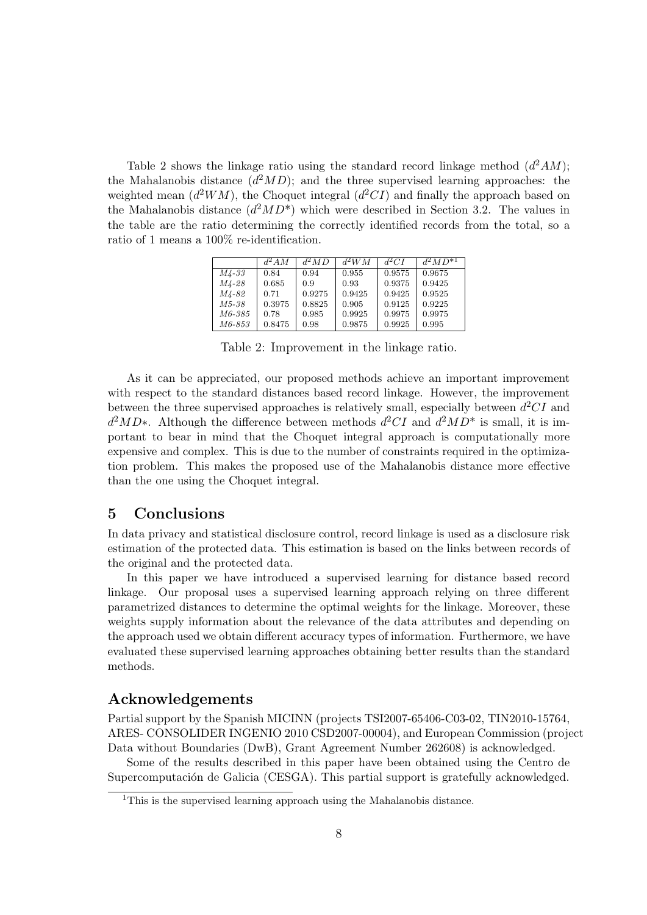Table 2 shows the linkage ratio using the standard record linkage method  $(d^2AM)$ ; the Mahalanobis distance  $(d^2MD)$ ; and the three supervised learning approaches: the weighted mean  $(d^2WM)$ , the Choquet integral  $(d^2CI)$  and finally the approach based on the Mahalanobis distance  $(d^2MD^*)$  which were described in Section 3.2. The values in the table are the ratio determining the correctly identified records from the total, so a ratio of 1 means a 100% re-identification.

|               | $d^2AM$ | $d^2MD$ | $d^2WM$ | $d^2CI$ | $d^2MD^{*1}$ |
|---------------|---------|---------|---------|---------|--------------|
| <i>M4-33</i>  | 0.84    | 0.94    | 0.955   | 0.9575  | 0.9675       |
| M4-28         | 0.685   | 0.9     | 0.93    | 0.9375  | 0.9425       |
| M4-82         | 0.71    | 0.9275  | 0.9425  | 0.9425  | 0.9525       |
| M5-38         | 0.3975  | 0.8825  | 0.905   | 0.9125  | 0.9225       |
| M6-385        | 0.78    | 0.985   | 0.9925  | 0.9975  | 0.9975       |
| <i>M6-853</i> | 0.8475  | 0.98    | 0.9875  | 0.9925  | 0.995        |

Table 2: Improvement in the linkage ratio.

As it can be appreciated, our proposed methods achieve an important improvement with respect to the standard distances based record linkage. However, the improvement between the three supervised approaches is relatively small, especially between  $d^2CI$  and  $d^2MD^*$ . Although the difference between methods  $d^2CI$  and  $d^2MD^*$  is small, it is important to bear in mind that the Choquet integral approach is computationally more expensive and complex. This is due to the number of constraints required in the optimization problem. This makes the proposed use of the Mahalanobis distance more effective than the one using the Choquet integral.

#### 5 Conclusions

In data privacy and statistical disclosure control, record linkage is used as a disclosure risk estimation of the protected data. This estimation is based on the links between records of the original and the protected data.

In this paper we have introduced a supervised learning for distance based record linkage. Our proposal uses a supervised learning approach relying on three different parametrized distances to determine the optimal weights for the linkage. Moreover, these weights supply information about the relevance of the data attributes and depending on the approach used we obtain different accuracy types of information. Furthermore, we have evaluated these supervised learning approaches obtaining better results than the standard methods.

#### Acknowledgements

Partial support by the Spanish MICINN (projects TSI2007-65406-C03-02, TIN2010-15764, ARES- CONSOLIDER INGENIO 2010 CSD2007-00004), and European Commission (project Data without Boundaries (DwB), Grant Agreement Number 262608) is acknowledged.

Some of the results described in this paper have been obtained using the Centro de Supercomputación de Galicia (CESGA). This partial support is gratefully acknowledged.

<sup>&</sup>lt;sup>1</sup>This is the supervised learning approach using the Mahalanobis distance.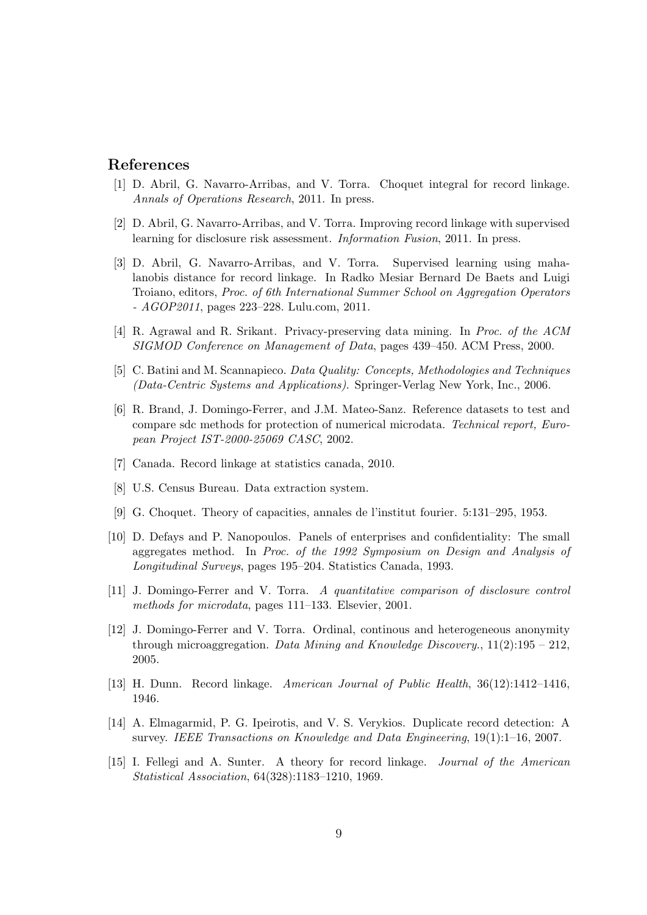## References

- [1] D. Abril, G. Navarro-Arribas, and V. Torra. Choquet integral for record linkage. Annals of Operations Research, 2011. In press.
- [2] D. Abril, G. Navarro-Arribas, and V. Torra. Improving record linkage with supervised learning for disclosure risk assessment. Information Fusion, 2011. In press.
- [3] D. Abril, G. Navarro-Arribas, and V. Torra. Supervised learning using mahalanobis distance for record linkage. In Radko Mesiar Bernard De Baets and Luigi Troiano, editors, Proc. of 6th International Summer School on Aggregation Operators - AGOP2011, pages 223–228. Lulu.com, 2011.
- [4] R. Agrawal and R. Srikant. Privacy-preserving data mining. In Proc. of the ACM SIGMOD Conference on Management of Data, pages 439–450. ACM Press, 2000.
- [5] C. Batini and M. Scannapieco. Data Quality: Concepts, Methodologies and Techniques (Data-Centric Systems and Applications). Springer-Verlag New York, Inc., 2006.
- [6] R. Brand, J. Domingo-Ferrer, and J.M. Mateo-Sanz. Reference datasets to test and compare sdc methods for protection of numerical microdata. Technical report, European Project IST-2000-25069 CASC, 2002.
- [7] Canada. Record linkage at statistics canada, 2010.
- [8] U.S. Census Bureau. Data extraction system.
- [9] G. Choquet. Theory of capacities, annales de l'institut fourier. 5:131–295, 1953.
- [10] D. Defays and P. Nanopoulos. Panels of enterprises and confidentiality: The small aggregates method. In Proc. of the 1992 Symposium on Design and Analysis of Longitudinal Surveys, pages 195–204. Statistics Canada, 1993.
- [11] J. Domingo-Ferrer and V. Torra. A quantitative comparison of disclosure control methods for microdata, pages 111–133. Elsevier, 2001.
- [12] J. Domingo-Ferrer and V. Torra. Ordinal, continous and heterogeneous anonymity through microaggregation. Data Mining and Knowledge Discovery.,  $11(2):195 - 212$ , 2005.
- [13] H. Dunn. Record linkage. American Journal of Public Health, 36(12):1412–1416, 1946.
- [14] A. Elmagarmid, P. G. Ipeirotis, and V. S. Verykios. Duplicate record detection: A survey. IEEE Transactions on Knowledge and Data Engineering, 19(1):1–16, 2007.
- [15] I. Fellegi and A. Sunter. A theory for record linkage. Journal of the American Statistical Association, 64(328):1183–1210, 1969.